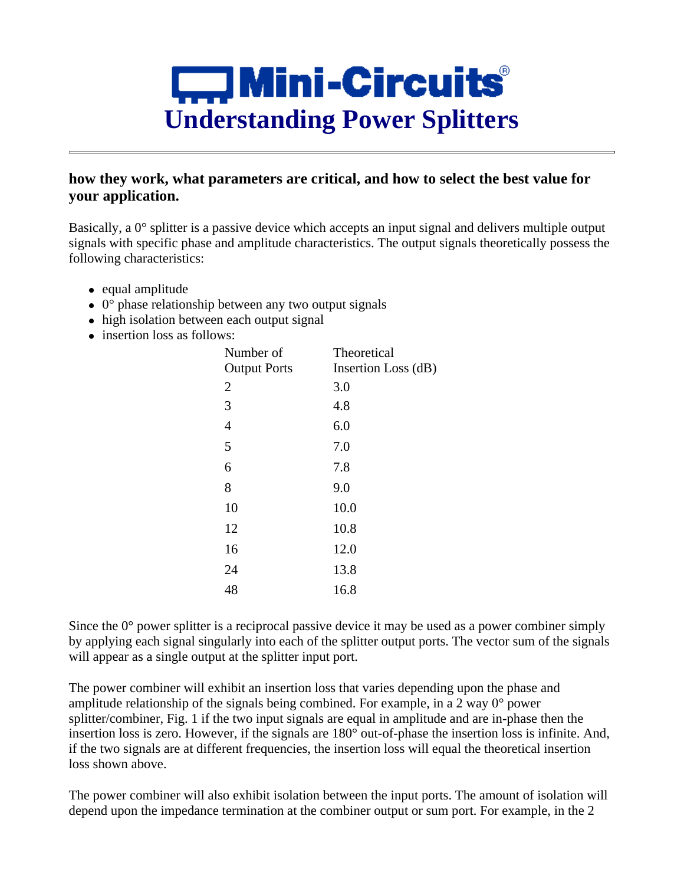

# **how they work, what parameters are critical, and how to select the best value for your application.**

Basically, a 0° splitter is a passive device which accepts an input signal and delivers multiple output signals with specific phase and amplitude characteristics. The output signals theoretically possess the following characteristics:

- equal amplitude
- $\bullet$  0 $\degree$  phase relationship between any two output signals
- high isolation between each output signal
- insertion loss as follows:

| Number of           | Theoretical         |
|---------------------|---------------------|
| <b>Output Ports</b> | Insertion Loss (dB) |
| $\overline{2}$      | 3.0                 |
| 3                   | 4.8                 |
| $\overline{4}$      | 6.0                 |
| 5                   | 7.0                 |
| 6                   | 7.8                 |
| 8                   | 9.0                 |
| 10                  | 10.0                |
| 12                  | 10.8                |
| 16                  | 12.0                |
| 24                  | 13.8                |
| 48                  | 16.8                |

Since the  $0^{\circ}$  power splitter is a reciprocal passive device it may be used as a power combiner simply by applying each signal singularly into each of the splitter output ports. The vector sum of the signals will appear as a single output at the splitter input port.

The power combiner will exhibit an insertion loss that varies depending upon the phase and amplitude relationship of the signals being combined. For example, in a 2 way 0° power splitter/combiner, Fig. 1 if the two input signals are equal in amplitude and are in-phase then the insertion loss is zero. However, if the signals are 180° out-of-phase the insertion loss is infinite. And, if the two signals are at different frequencies, the insertion loss will equal the theoretical insertion loss shown above.

The power combiner will also exhibit isolation between the input ports. The amount of isolation will depend upon the impedance termination at the combiner output or sum port. For example, in the 2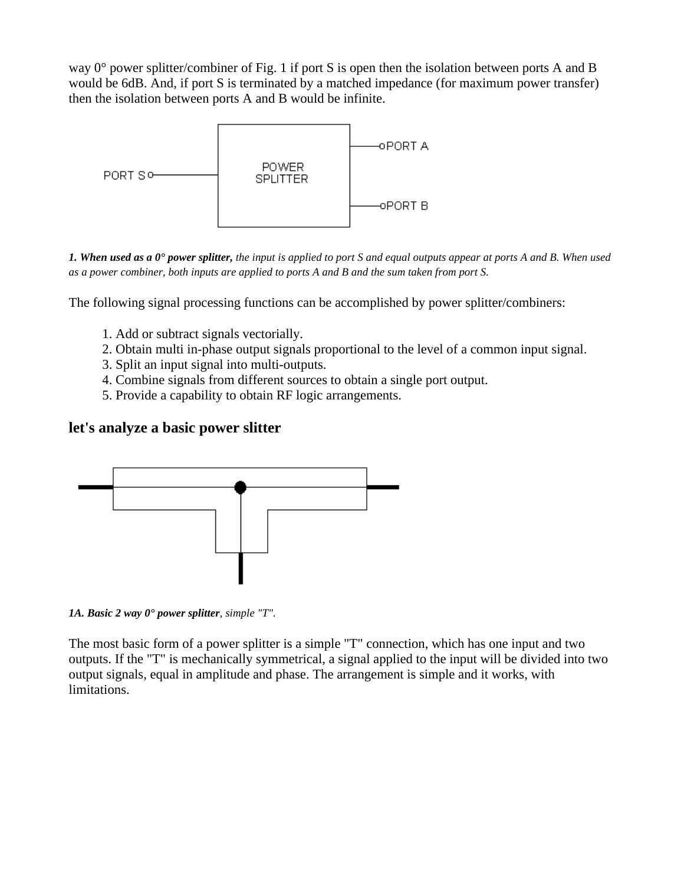way 0° power splitter/combiner of Fig. 1 if port S is open then the isolation between ports A and B would be 6dB. And, if port S is terminated by a matched impedance (for maximum power transfer) then the isolation between ports A and B would be infinite.



*1. When used as a 0° power splitter, the input is applied to port S and equal outputs appear at ports A and B. When used as a power combiner, both inputs are applied to ports A and B and the sum taken from port S.*

The following signal processing functions can be accomplished by power splitter/combiners:

- 1. Add or subtract signals vectorially.
- 2. Obtain multi in-phase output signals proportional to the level of a common input signal.
- 3. Split an input signal into multi-outputs.
- 4. Combine signals from different sources to obtain a single port output.
- 5. Provide a capability to obtain RF logic arrangements.

## **let's analyze a basic power slitter**



*1A. Basic 2 way 0° power splitter, simple "T".*

The most basic form of a power splitter is a simple "T" connection, which has one input and two outputs. If the "T" is mechanically symmetrical, a signal applied to the input will be divided into two output signals, equal in amplitude and phase. The arrangement is simple and it works, with limitations.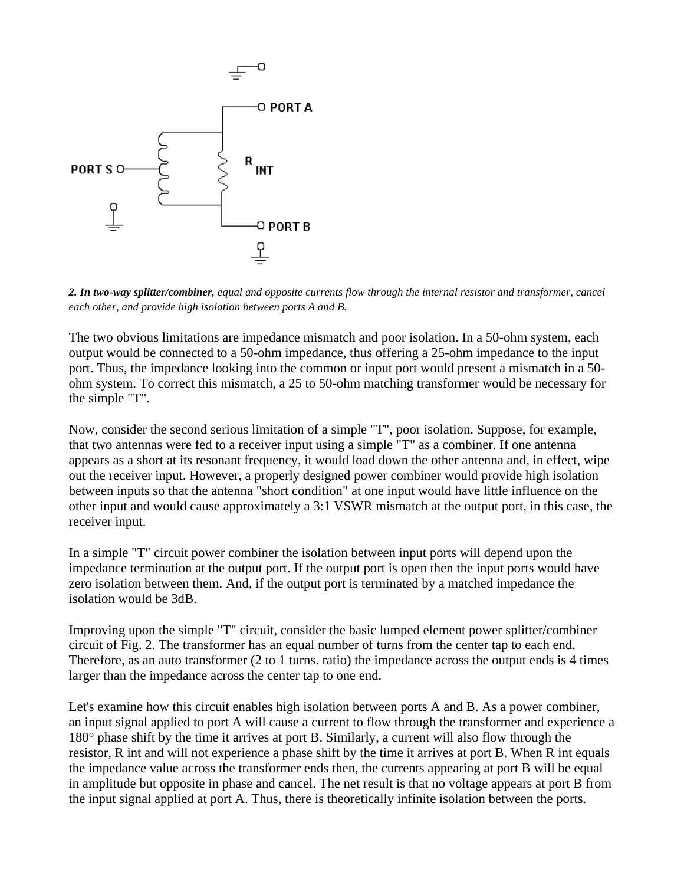

*2. In two-way splitter/combiner, equal and opposite currents flow through the internal resistor and transformer, cancel each other, and provide high isolation between ports A and B.*

The two obvious limitations are impedance mismatch and poor isolation. In a 50-ohm system, each output would be connected to a 50-ohm impedance, thus offering a 25-ohm impedance to the input port. Thus, the impedance looking into the common or input port would present a mismatch in a 50 ohm system. To correct this mismatch, a 25 to 50-ohm matching transformer would be necessary for the simple "T".

Now, consider the second serious limitation of a simple "T", poor isolation. Suppose, for example, that two antennas were fed to a receiver input using a simple "T" as a combiner. If one antenna appears as a short at its resonant frequency, it would load down the other antenna and, in effect, wipe out the receiver input. However, a properly designed power combiner would provide high isolation between inputs so that the antenna "short condition" at one input would have little influence on the other input and would cause approximately a 3:1 VSWR mismatch at the output port, in this case, the receiver input.

In a simple "T" circuit power combiner the isolation between input ports will depend upon the impedance termination at the output port. If the output port is open then the input ports would have zero isolation between them. And, if the output port is terminated by a matched impedance the isolation would be 3dB.

Improving upon the simple "T" circuit, consider the basic lumped element power splitter/combiner circuit of Fig. 2. The transformer has an equal number of turns from the center tap to each end. Therefore, as an auto transformer (2 to 1 turns. ratio) the impedance across the output ends is 4 times larger than the impedance across the center tap to one end.

Let's examine how this circuit enables high isolation between ports A and B. As a power combiner, an input signal applied to port A will cause a current to flow through the transformer and experience a 180° phase shift by the time it arrives at port B. Similarly, a current will also flow through the resistor, R int and will not experience a phase shift by the time it arrives at port B. When R int equals the impedance value across the transformer ends then, the currents appearing at port B will be equal in amplitude but opposite in phase and cancel. The net result is that no voltage appears at port B from the input signal applied at port A. Thus, there is theoretically infinite isolation between the ports.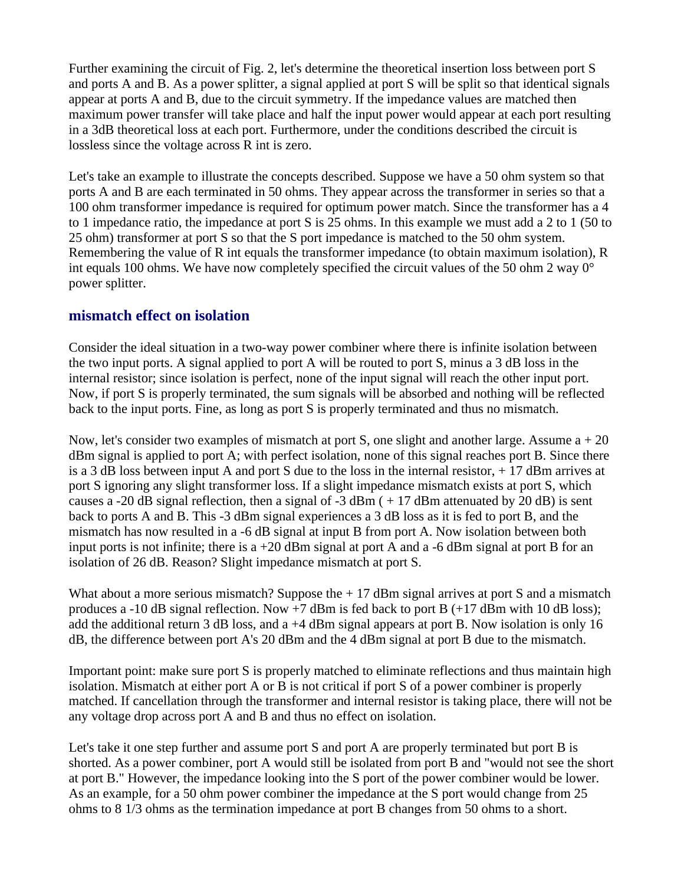Further examining the circuit of Fig. 2, let's determine the theoretical insertion loss between port S and ports A and B. As a power splitter, a signal applied at port S will be split so that identical signals appear at ports A and B, due to the circuit symmetry. If the impedance values are matched then maximum power transfer will take place and half the input power would appear at each port resulting in a 3dB theoretical loss at each port. Furthermore, under the conditions described the circuit is lossless since the voltage across R int is zero.

Let's take an example to illustrate the concepts described. Suppose we have a 50 ohm system so that ports A and B are each terminated in 50 ohms. They appear across the transformer in series so that a 100 ohm transformer impedance is required for optimum power match. Since the transformer has a 4 to 1 impedance ratio, the impedance at port S is 25 ohms. In this example we must add a 2 to 1 (50 to 25 ohm) transformer at port S so that the S port impedance is matched to the 50 ohm system. Remembering the value of R int equals the transformer impedance (to obtain maximum isolation), R int equals 100 ohms. We have now completely specified the circuit values of the 50 ohm 2 way 0° power splitter.

## **mismatch effect on isolation**

Consider the ideal situation in a two-way power combiner where there is infinite isolation between the two input ports. A signal applied to port A will be routed to port S, minus a 3 dB loss in the internal resistor; since isolation is perfect, none of the input signal will reach the other input port. Now, if port S is properly terminated, the sum signals will be absorbed and nothing will be reflected back to the input ports. Fine, as long as port S is properly terminated and thus no mismatch.

Now, let's consider two examples of mismatch at port S, one slight and another large. Assume  $a + 20$ dBm signal is applied to port A; with perfect isolation, none of this signal reaches port B. Since there is a 3 dB loss between input A and port S due to the loss in the internal resistor, + 17 dBm arrives at port S ignoring any slight transformer loss. If a slight impedance mismatch exists at port S, which causes a -20 dB signal reflection, then a signal of -3 dBm  $(+17 \text{ dBm}$  attenuated by 20 dB) is sent back to ports A and B. This -3 dBm signal experiences a 3 dB loss as it is fed to port B, and the mismatch has now resulted in a -6 dB signal at input B from port A. Now isolation between both input ports is not infinite; there is  $a + 20$  dBm signal at port A and  $a - 6$  dBm signal at port B for an isolation of 26 dB. Reason? Slight impedance mismatch at port S.

What about a more serious mismatch? Suppose the  $+17$  dBm signal arrives at port S and a mismatch produces a -10 dB signal reflection. Now  $+7$  dBm is fed back to port B ( $+17$  dBm with 10 dB loss); add the additional return 3 dB loss, and a +4 dBm signal appears at port B. Now isolation is only 16 dB, the difference between port A's 20 dBm and the 4 dBm signal at port B due to the mismatch.

Important point: make sure port S is properly matched to eliminate reflections and thus maintain high isolation. Mismatch at either port A or B is not critical if port S of a power combiner is properly matched. If cancellation through the transformer and internal resistor is taking place, there will not be any voltage drop across port A and B and thus no effect on isolation.

Let's take it one step further and assume port S and port A are properly terminated but port B is shorted. As a power combiner, port A would still be isolated from port B and "would not see the short at port B." However, the impedance looking into the S port of the power combiner would be lower. As an example, for a 50 ohm power combiner the impedance at the S port would change from 25 ohms to 8 1/3 ohms as the termination impedance at port B changes from 50 ohms to a short.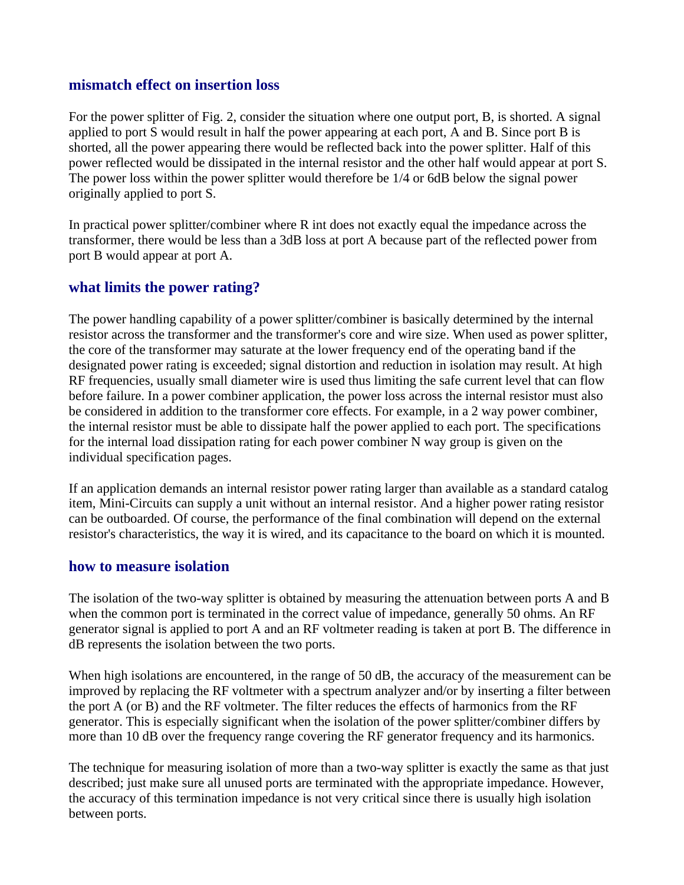### **mismatch effect on insertion loss**

For the power splitter of Fig. 2, consider the situation where one output port, B, is shorted. A signal applied to port S would result in half the power appearing at each port, A and B. Since port B is shorted, all the power appearing there would be reflected back into the power splitter. Half of this power reflected would be dissipated in the internal resistor and the other half would appear at port S. The power loss within the power splitter would therefore be 1/4 or 6dB below the signal power originally applied to port S.

In practical power splitter/combiner where R int does not exactly equal the impedance across the transformer, there would be less than a 3dB loss at port A because part of the reflected power from port B would appear at port A.

# **what limits the power rating?**

The power handling capability of a power splitter/combiner is basically determined by the internal resistor across the transformer and the transformer's core and wire size. When used as power splitter, the core of the transformer may saturate at the lower frequency end of the operating band if the designated power rating is exceeded; signal distortion and reduction in isolation may result. At high RF frequencies, usually small diameter wire is used thus limiting the safe current level that can flow before failure. In a power combiner application, the power loss across the internal resistor must also be considered in addition to the transformer core effects. For example, in a 2 way power combiner, the internal resistor must be able to dissipate half the power applied to each port. The specifications for the internal load dissipation rating for each power combiner N way group is given on the individual specification pages.

If an application demands an internal resistor power rating larger than available as a standard catalog item, Mini-Circuits can supply a unit without an internal resistor. And a higher power rating resistor can be outboarded. Of course, the performance of the final combination will depend on the external resistor's characteristics, the way it is wired, and its capacitance to the board on which it is mounted.

#### **how to measure isolation**

The isolation of the two-way splitter is obtained by measuring the attenuation between ports A and B when the common port is terminated in the correct value of impedance, generally 50 ohms. An RF generator signal is applied to port A and an RF voltmeter reading is taken at port B. The difference in dB represents the isolation between the two ports.

When high isolations are encountered, in the range of 50 dB, the accuracy of the measurement can be improved by replacing the RF voltmeter with a spectrum analyzer and/or by inserting a filter between the port A (or B) and the RF voltmeter. The filter reduces the effects of harmonics from the RF generator. This is especially significant when the isolation of the power splitter/combiner differs by more than 10 dB over the frequency range covering the RF generator frequency and its harmonics.

The technique for measuring isolation of more than a two-way splitter is exactly the same as that just described; just make sure all unused ports are terminated with the appropriate impedance. However, the accuracy of this termination impedance is not very critical since there is usually high isolation between ports.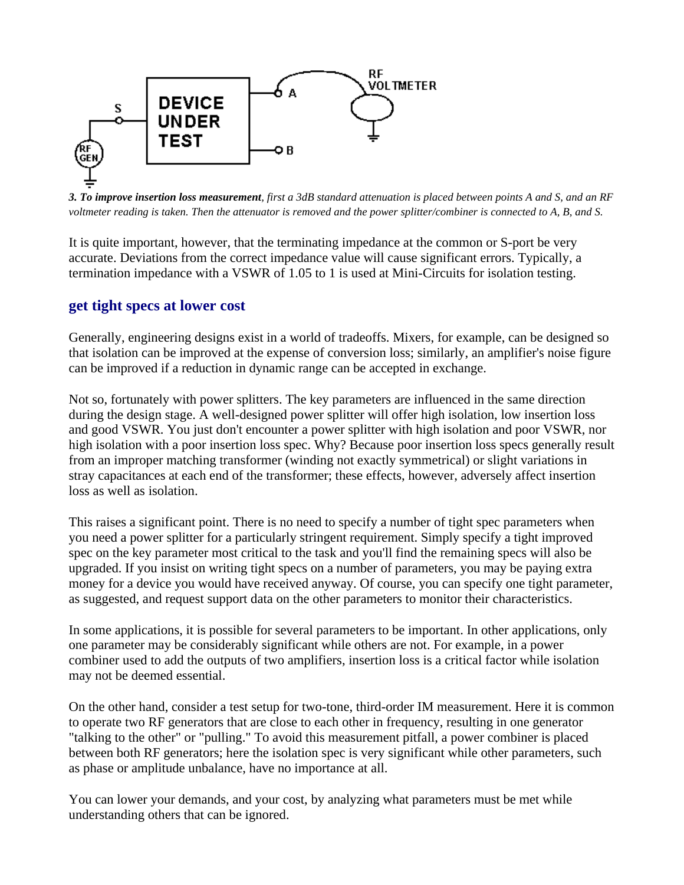

*3. To improve insertion loss measurement, first a 3dB standard attenuation is placed between points A and S, and an RF voltmeter reading is taken. Then the attenuator is removed and the power splitter/combiner is connected to A, B, and S.*

It is quite important, however, that the terminating impedance at the common or S-port be very accurate. Deviations from the correct impedance value will cause significant errors. Typically, a termination impedance with a VSWR of 1.05 to 1 is used at Mini-Circuits for isolation testing.

## **get tight specs at lower cost**

Generally, engineering designs exist in a world of tradeoffs. Mixers, for example, can be designed so that isolation can be improved at the expense of conversion loss; similarly, an amplifier's noise figure can be improved if a reduction in dynamic range can be accepted in exchange.

Not so, fortunately with power splitters. The key parameters are influenced in the same direction during the design stage. A well-designed power splitter will offer high isolation, low insertion loss and good VSWR. You just don't encounter a power splitter with high isolation and poor VSWR, nor high isolation with a poor insertion loss spec. Why? Because poor insertion loss specs generally result from an improper matching transformer (winding not exactly symmetrical) or slight variations in stray capacitances at each end of the transformer; these effects, however, adversely affect insertion loss as well as isolation.

This raises a significant point. There is no need to specify a number of tight spec parameters when you need a power splitter for a particularly stringent requirement. Simply specify a tight improved spec on the key parameter most critical to the task and you'll find the remaining specs will also be upgraded. If you insist on writing tight specs on a number of parameters, you may be paying extra money for a device you would have received anyway. Of course, you can specify one tight parameter, as suggested, and request support data on the other parameters to monitor their characteristics.

In some applications, it is possible for several parameters to be important. In other applications, only one parameter may be considerably significant while others are not. For example, in a power combiner used to add the outputs of two amplifiers, insertion loss is a critical factor while isolation may not be deemed essential.

On the other hand, consider a test setup for two-tone, third-order IM measurement. Here it is common to operate two RF generators that are close to each other in frequency, resulting in one generator "talking to the other" or "pulling." To avoid this measurement pitfall, a power combiner is placed between both RF generators; here the isolation spec is very significant while other parameters, such as phase or amplitude unbalance, have no importance at all.

You can lower your demands, and your cost, by analyzing what parameters must be met while understanding others that can be ignored.